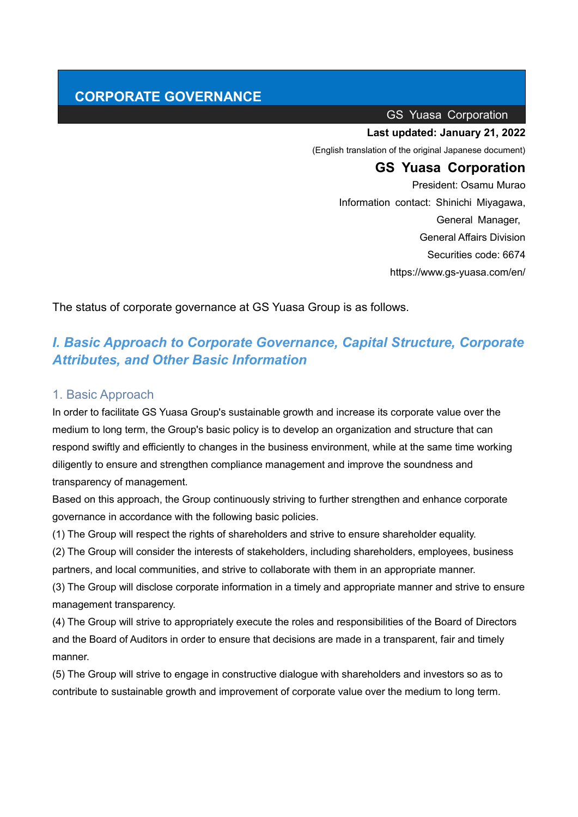# **CORPORATE GOVERNANCE**

GS Yuasa Corporation

#### **Last updated: January 21, 2022**

(English translation of the original Japanese document)

# **GS Yuasa Corporation**

President: Osamu Murao Information contact: Shinichi Miyagawa, General Manager, General Affairs Division Securities code: 6674 https://www.gs-yuasa.com/en/

The status of corporate governance at GS Yuasa Group is as follows.

# *I. Basic Approach to Corporate Governance, Capital Structure, Corporate Attributes, and Other Basic Information*

#### 1. Basic Approach

In order to facilitate GS Yuasa Group's sustainable growth and increase its corporate value over the medium to long term, the Group's basic policy is to develop an organization and structure that can respond swiftly and efficiently to changes in the business environment, while at the same time working diligently to ensure and strengthen compliance management and improve the soundness and transparency of management.

Based on this approach, the Group continuously striving to further strengthen and enhance corporate governance in accordance with the following basic policies.

(1) The Group will respect the rights of shareholders and strive to ensure shareholder equality.

(2) The Group will consider the interests of stakeholders, including shareholders, employees, business partners, and local communities, and strive to collaborate with them in an appropriate manner.

(3) The Group will disclose corporate information in a timely and appropriate manner and strive to ensure management transparency.

(4) The Group will strive to appropriately execute the roles and responsibilities of the Board of Directors and the Board of Auditors in order to ensure that decisions are made in a transparent, fair and timely manner.

(5) The Group will strive to engage in constructive dialogue with shareholders and investors so as to contribute to sustainable growth and improvement of corporate value over the medium to long term.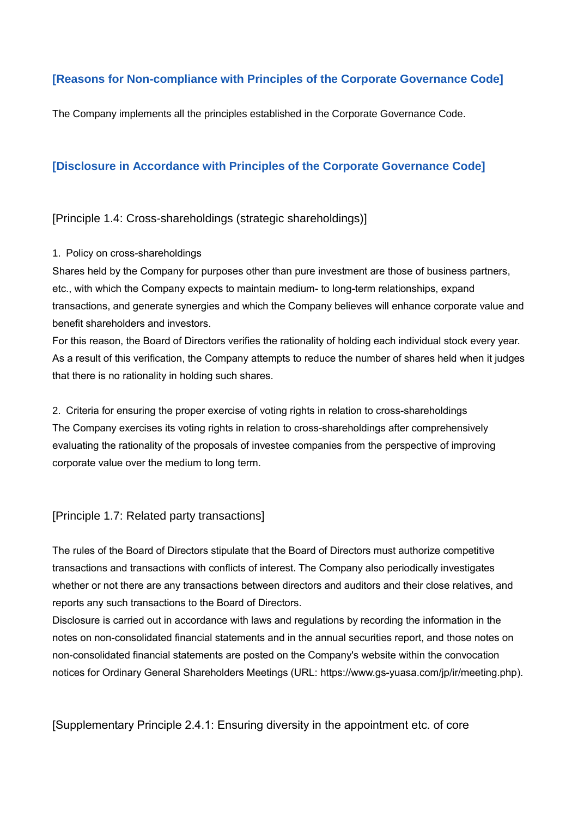## **[Reasons for Non-compliance with Principles of the Corporate Governance Code]**

The Company implements all the principles established in the Corporate Governance Code.

### **[Disclosure in Accordance with Principles of the Corporate Governance Code]**

[Principle 1.4: Cross-shareholdings (strategic shareholdings)]

#### 1. Policy on cross-shareholdings

Shares held by the Company for purposes other than pure investment are those of business partners, etc., with which the Company expects to maintain medium- to long-term relationships, expand transactions, and generate synergies and which the Company believes will enhance corporate value and benefit shareholders and investors.

For this reason, the Board of Directors verifies the rationality of holding each individual stock every year. As a result of this verification, the Company attempts to reduce the number of shares held when it judges that there is no rationality in holding such shares.

2. Criteria for ensuring the proper exercise of voting rights in relation to cross-shareholdings The Company exercises its voting rights in relation to cross-shareholdings after comprehensively evaluating the rationality of the proposals of investee companies from the perspective of improving corporate value over the medium to long term.

[Principle 1.7: Related party transactions]

The rules of the Board of Directors stipulate that the Board of Directors must authorize competitive transactions and transactions with conflicts of interest. The Company also periodically investigates whether or not there are any transactions between directors and auditors and their close relatives, and reports any such transactions to the Board of Directors.

Disclosure is carried out in accordance with laws and regulations by recording the information in the notes on non-consolidated financial statements and in the annual securities report, and those notes on non-consolidated financial statements are posted on the Company's website within the convocation notices for Ordinary General Shareholders Meetings (URL: https://www.gs-yuasa.com/jp/ir/meeting.php).

[Supplementary Principle 2.4.1: Ensuring diversity in the appointment etc. of core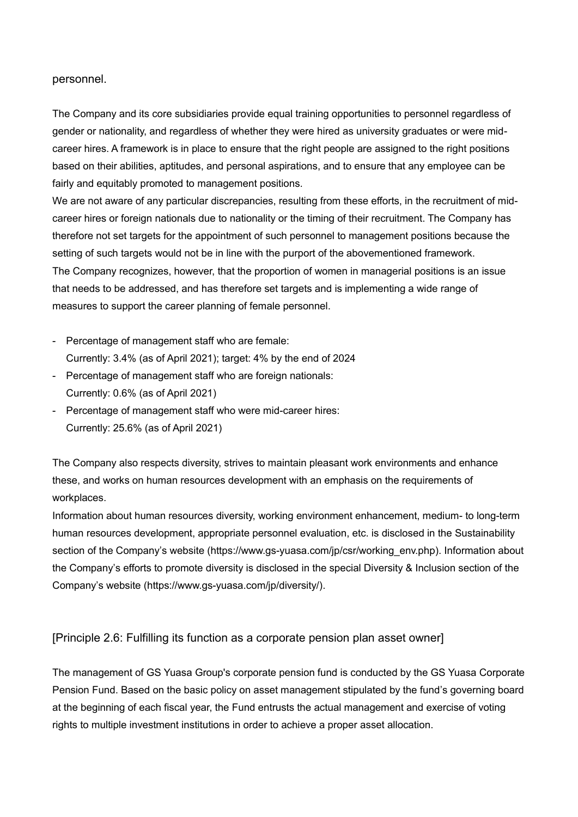#### personnel.

The Company and its core subsidiaries provide equal training opportunities to personnel regardless of gender or nationality, and regardless of whether they were hired as university graduates or were midcareer hires. A framework is in place to ensure that the right people are assigned to the right positions based on their abilities, aptitudes, and personal aspirations, and to ensure that any employee can be fairly and equitably promoted to management positions.

We are not aware of any particular discrepancies, resulting from these efforts, in the recruitment of midcareer hires or foreign nationals due to nationality or the timing of their recruitment. The Company has therefore not set targets for the appointment of such personnel to management positions because the setting of such targets would not be in line with the purport of the abovementioned framework. The Company recognizes, however, that the proportion of women in managerial positions is an issue that needs to be addressed, and has therefore set targets and is implementing a wide range of measures to support the career planning of female personnel.

- Percentage of management staff who are female: Currently: 3.4% (as of April 2021); target: 4% by the end of 2024
- Percentage of management staff who are foreign nationals: Currently: 0.6% (as of April 2021)
- Percentage of management staff who were mid-career hires: Currently: 25.6% (as of April 2021)

The Company also respects diversity, strives to maintain pleasant work environments and enhance these, and works on human resources development with an emphasis on the requirements of workplaces.

Information about human resources diversity, working environment enhancement, medium- to long-term human resources development, appropriate personnel evaluation, etc. is disclosed in the Sustainability section of the Company's website (https://www.gs-yuasa.com/jp/csr/working\_env.php). Information about the Company's efforts to promote diversity is disclosed in the special Diversity & Inclusion section of the Company's website (https://www.gs-yuasa.com/jp/diversity/).

#### [Principle 2.6: Fulfilling its function as a corporate pension plan asset owner]

The management of GS Yuasa Group's corporate pension fund is conducted by the GS Yuasa Corporate Pension Fund. Based on the basic policy on asset management stipulated by the fund's governing board at the beginning of each fiscal year, the Fund entrusts the actual management and exercise of voting rights to multiple investment institutions in order to achieve a proper asset allocation.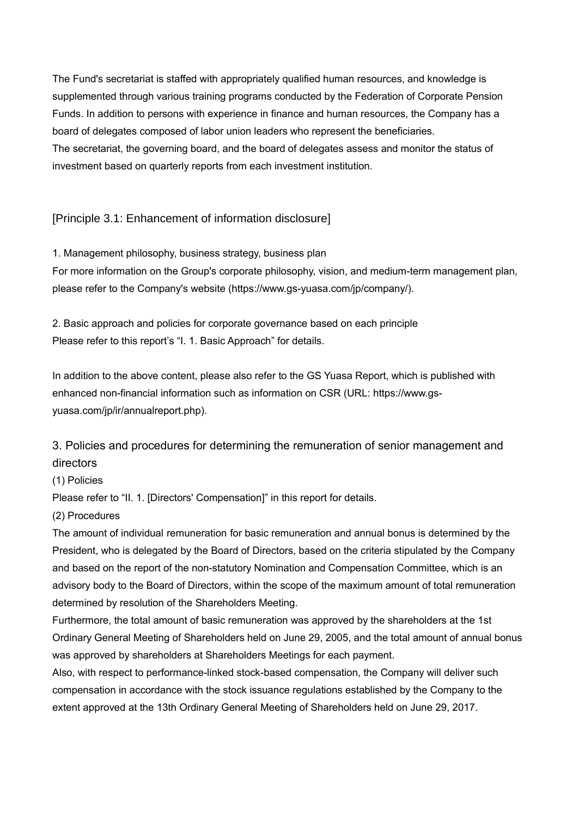The Fund's secretariat is staffed with appropriately qualified human resources, and knowledge is supplemented through various training programs conducted by the Federation of Corporate Pension Funds. In addition to persons with experience in finance and human resources, the Company has a board of delegates composed of labor union leaders who represent the beneficiaries. The secretariat, the governing board, and the board of delegates assess and monitor the status of investment based on quarterly reports from each investment institution.

### [Principle 3.1: Enhancement of information disclosure]

1. Management philosophy, business strategy, business plan For more information on the Group's corporate philosophy, vision, and medium-term management plan, please refer to the Company's website (https://www.gs-yuasa.com/jp/company/).

2. Basic approach and policies for corporate governance based on each principle Please refer to this report's "I. 1. Basic Approach" for details.

In addition to the above content, please also refer to the GS Yuasa Report, which is published with enhanced non-financial information such as information on CSR (URL: [https://www.gs](https://www.gs-yuasa.com/jp/ir/annualreport.php)[yuasa.com/jp/ir/annualreport.php\)](https://www.gs-yuasa.com/jp/ir/annualreport.php).

3. Policies and procedures for determining the remuneration of senior management and directors

#### (1) Policies

Please refer to "II. 1. [Directors' Compensation]" in this report for details.

#### (2) Procedures

The amount of individual remuneration for basic remuneration and annual bonus is determined by the President, who is delegated by the Board of Directors, based on the criteria stipulated by the Company and based on the report of the non-statutory Nomination and Compensation Committee, which is an advisory body to the Board of Directors, within the scope of the maximum amount of total remuneration determined by resolution of the Shareholders Meeting.

Furthermore, the total amount of basic remuneration was approved by the shareholders at the 1st Ordinary General Meeting of Shareholders held on June 29, 2005, and the total amount of annual bonus was approved by shareholders at Shareholders Meetings for each payment.

Also, with respect to performance-linked stock-based compensation, the Company will deliver such compensation in accordance with the stock issuance regulations established by the Company to the extent approved at the 13th Ordinary General Meeting of Shareholders held on June 29, 2017.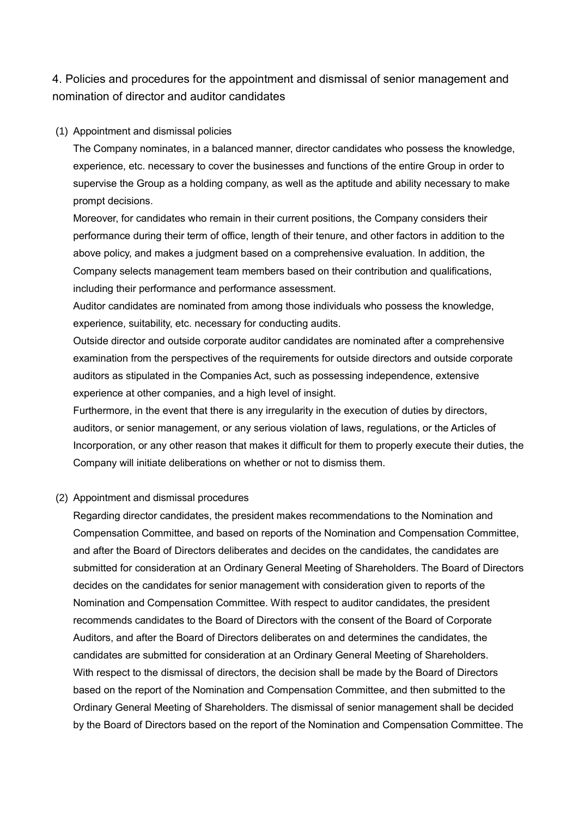# 4. Policies and procedures for the appointment and dismissal of senior management and nomination of director and auditor candidates

#### (1) Appointment and dismissal policies

The Company nominates, in a balanced manner, director candidates who possess the knowledge, experience, etc. necessary to cover the businesses and functions of the entire Group in order to supervise the Group as a holding company, as well as the aptitude and ability necessary to make prompt decisions.

Moreover, for candidates who remain in their current positions, the Company considers their performance during their term of office, length of their tenure, and other factors in addition to the above policy, and makes a judgment based on a comprehensive evaluation. In addition, the Company selects management team members based on their contribution and qualifications, including their performance and performance assessment.

Auditor candidates are nominated from among those individuals who possess the knowledge, experience, suitability, etc. necessary for conducting audits.

Outside director and outside corporate auditor candidates are nominated after a comprehensive examination from the perspectives of the requirements for outside directors and outside corporate auditors as stipulated in the Companies Act, such as possessing independence, extensive experience at other companies, and a high level of insight.

Furthermore, in the event that there is any irregularity in the execution of duties by directors, auditors, or senior management, or any serious violation of laws, regulations, or the Articles of Incorporation, or any other reason that makes it difficult for them to properly execute their duties, the Company will initiate deliberations on whether or not to dismiss them.

#### (2) Appointment and dismissal procedures

Regarding director candidates, the president makes recommendations to the Nomination and Compensation Committee, and based on reports of the Nomination and Compensation Committee, and after the Board of Directors deliberates and decides on the candidates, the candidates are submitted for consideration at an Ordinary General Meeting of Shareholders. The Board of Directors decides on the candidates for senior management with consideration given to reports of the Nomination and Compensation Committee. With respect to auditor candidates, the president recommends candidates to the Board of Directors with the consent of the Board of Corporate Auditors, and after the Board of Directors deliberates on and determines the candidates, the candidates are submitted for consideration at an Ordinary General Meeting of Shareholders. With respect to the dismissal of directors, the decision shall be made by the Board of Directors based on the report of the Nomination and Compensation Committee, and then submitted to the Ordinary General Meeting of Shareholders. The dismissal of senior management shall be decided by the Board of Directors based on the report of the Nomination and Compensation Committee. The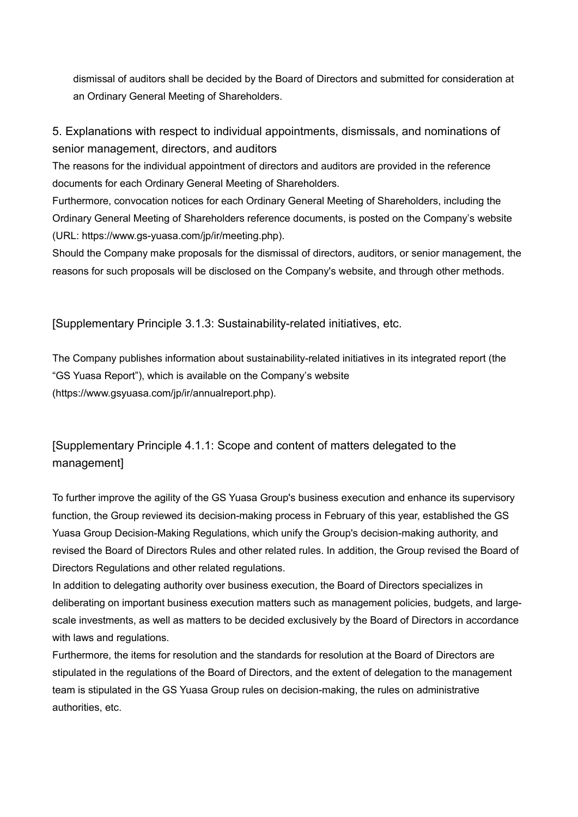dismissal of auditors shall be decided by the Board of Directors and submitted for consideration at an Ordinary General Meeting of Shareholders.

5. Explanations with respect to individual appointments, dismissals, and nominations of senior management, directors, and auditors

The reasons for the individual appointment of directors and auditors are provided in the reference documents for each Ordinary General Meeting of Shareholders.

Furthermore, convocation notices for each Ordinary General Meeting of Shareholders, including the Ordinary General Meeting of Shareholders reference documents, is posted on the Company's website (URL: https://www.gs-yuasa.com/jp/ir/meeting.php).

Should the Company make proposals for the dismissal of directors, auditors, or senior management, the reasons for such proposals will be disclosed on the Company's website, and through other methods.

[Supplementary Principle 3.1.3: Sustainability-related initiatives, etc.

The Company publishes information about sustainability-related initiatives in its integrated report (the "GS Yuasa Report"), which is available on the Company's website (https://www.gsyuasa.com/jp/ir/annualreport.php).

[Supplementary Principle 4.1.1: Scope and content of matters delegated to the management]

To further improve the agility of the GS Yuasa Group's business execution and enhance its supervisory function, the Group reviewed its decision-making process in February of this year, established the GS Yuasa Group Decision-Making Regulations, which unify the Group's decision-making authority, and revised the Board of Directors Rules and other related rules. In addition, the Group revised the Board of Directors Regulations and other related regulations.

In addition to delegating authority over business execution, the Board of Directors specializes in deliberating on important business execution matters such as management policies, budgets, and largescale investments, as well as matters to be decided exclusively by the Board of Directors in accordance with laws and regulations.

Furthermore, the items for resolution and the standards for resolution at the Board of Directors are stipulated in the regulations of the Board of Directors, and the extent of delegation to the management team is stipulated in the GS Yuasa Group rules on decision-making, the rules on administrative authorities, etc.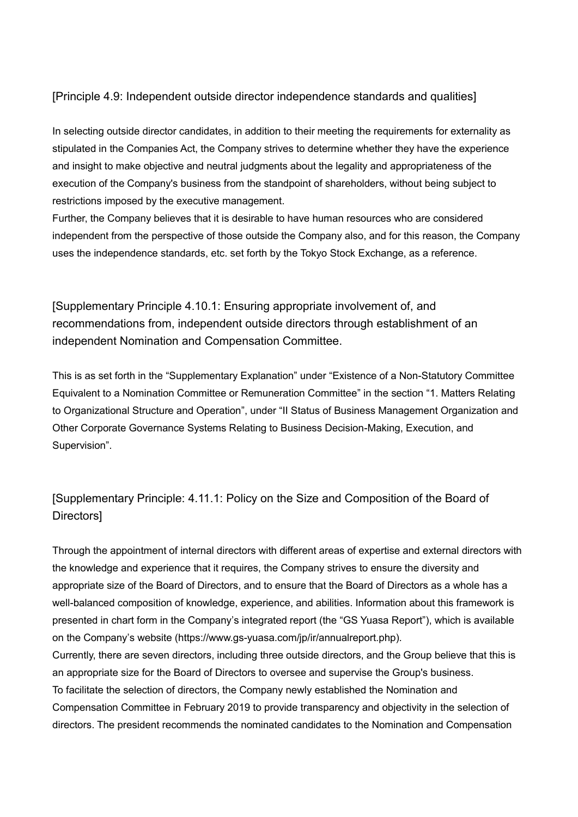### [Principle 4.9: Independent outside director independence standards and qualities]

In selecting outside director candidates, in addition to their meeting the requirements for externality as stipulated in the Companies Act, the Company strives to determine whether they have the experience and insight to make objective and neutral judgments about the legality and appropriateness of the execution of the Company's business from the standpoint of shareholders, without being subject to restrictions imposed by the executive management.

Further, the Company believes that it is desirable to have human resources who are considered independent from the perspective of those outside the Company also, and for this reason, the Company uses the independence standards, etc. set forth by the Tokyo Stock Exchange, as a reference.

[Supplementary Principle 4.10.1: Ensuring appropriate involvement of, and recommendations from, independent outside directors through establishment of an independent Nomination and Compensation Committee.

This is as set forth in the "Supplementary Explanation" under "Existence of a Non-Statutory Committee Equivalent to a Nomination Committee or Remuneration Committee" in the section "1. Matters Relating to Organizational Structure and Operation", under "II Status of Business Management Organization and Other Corporate Governance Systems Relating to Business Decision-Making, Execution, and Supervision".

# [Supplementary Principle: 4.11.1: Policy on the Size and Composition of the Board of **Directors1**

Through the appointment of internal directors with different areas of expertise and external directors with the knowledge and experience that it requires, the Company strives to ensure the diversity and appropriate size of the Board of Directors, and to ensure that the Board of Directors as a whole has a well-balanced composition of knowledge, experience, and abilities. Information about this framework is presented in chart form in the Company's integrated report (the "GS Yuasa Report"), which is available on the Company's website (https://www.gs-yuasa.com/jp/ir/annualreport.php). Currently, there are seven directors, including three outside directors, and the Group believe that this is

an appropriate size for the Board of Directors to oversee and supervise the Group's business. To facilitate the selection of directors, the Company newly established the Nomination and Compensation Committee in February 2019 to provide transparency and objectivity in the selection of

directors. The president recommends the nominated candidates to the Nomination and Compensation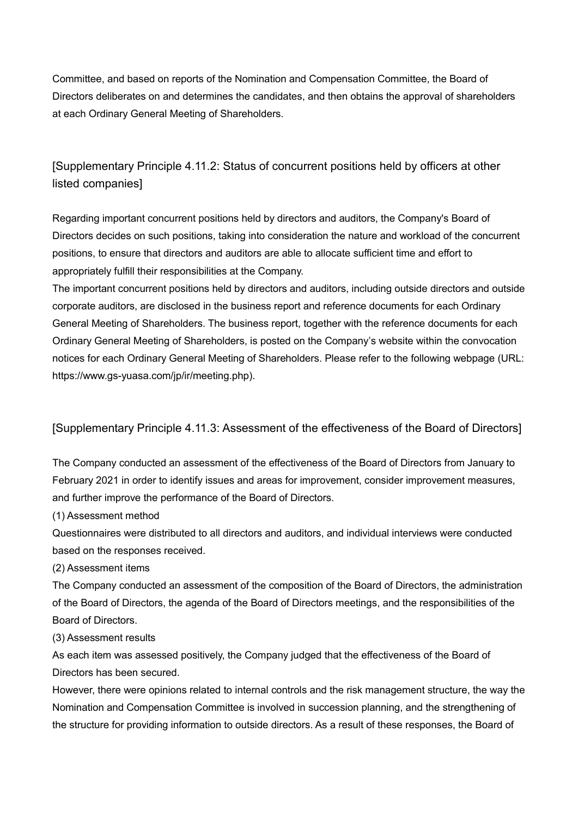Committee, and based on reports of the Nomination and Compensation Committee, the Board of Directors deliberates on and determines the candidates, and then obtains the approval of shareholders at each Ordinary General Meeting of Shareholders.

[Supplementary Principle 4.11.2: Status of concurrent positions held by officers at other listed companies]

Regarding important concurrent positions held by directors and auditors, the Company's Board of Directors decides on such positions, taking into consideration the nature and workload of the concurrent positions, to ensure that directors and auditors are able to allocate sufficient time and effort to appropriately fulfill their responsibilities at the Company.

The important concurrent positions held by directors and auditors, including outside directors and outside corporate auditors, are disclosed in the business report and reference documents for each Ordinary General Meeting of Shareholders. The business report, together with the reference documents for each Ordinary General Meeting of Shareholders, is posted on the Company's website within the convocation notices for each Ordinary General Meeting of Shareholders. Please refer to the following webpage (URL: [https://www.gs-yuasa.com/jp/ir/meeting.php\)](https://www.gs-yuasa.com/jp/ir/meeting.php).

### [Supplementary Principle 4.11.3: Assessment of the effectiveness of the Board of Directors]

The Company conducted an assessment of the effectiveness of the Board of Directors from January to February 2021 in order to identify issues and areas for improvement, consider improvement measures, and further improve the performance of the Board of Directors.

(1) Assessment method

Questionnaires were distributed to all directors and auditors, and individual interviews were conducted based on the responses received.

(2) Assessment items

The Company conducted an assessment of the composition of the Board of Directors, the administration of the Board of Directors, the agenda of the Board of Directors meetings, and the responsibilities of the Board of Directors.

(3) Assessment results

As each item was assessed positively, the Company judged that the effectiveness of the Board of Directors has been secured.

However, there were opinions related to internal controls and the risk management structure, the way the Nomination and Compensation Committee is involved in succession planning, and the strengthening of the structure for providing information to outside directors. As a result of these responses, the Board of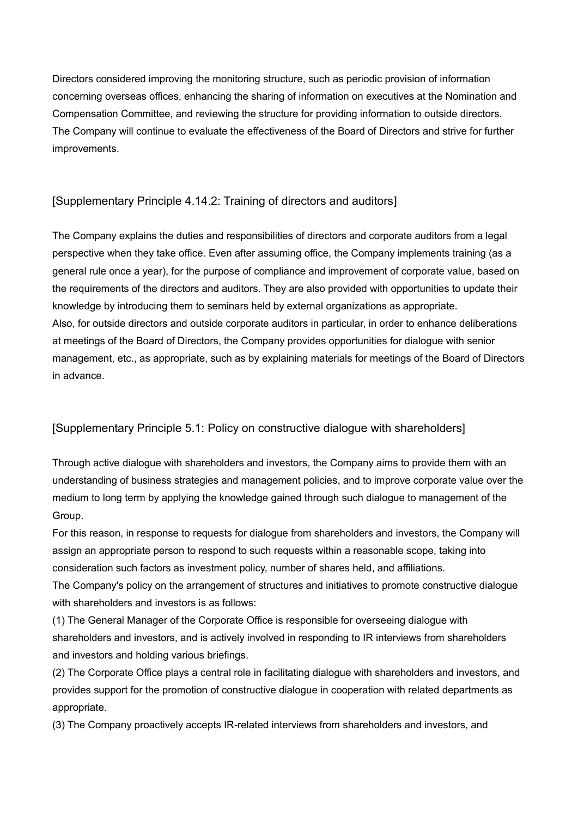Directors considered improving the monitoring structure, such as periodic provision of information concerning overseas offices, enhancing the sharing of information on executives at the Nomination and Compensation Committee, and reviewing the structure for providing information to outside directors. The Company will continue to evaluate the effectiveness of the Board of Directors and strive for further improvements.

### [Supplementary Principle 4.14.2: Training of directors and auditors]

The Company explains the duties and responsibilities of directors and corporate auditors from a legal perspective when they take office. Even after assuming office, the Company implements training (as a general rule once a year), for the purpose of compliance and improvement of corporate value, based on the requirements of the directors and auditors. They are also provided with opportunities to update their knowledge by introducing them to seminars held by external organizations as appropriate. Also, for outside directors and outside corporate auditors in particular, in order to enhance deliberations at meetings of the Board of Directors, the Company provides opportunities for dialogue with senior management, etc., as appropriate, such as by explaining materials for meetings of the Board of Directors in advance.

### [Supplementary Principle 5.1: Policy on constructive dialogue with shareholders]

Through active dialogue with shareholders and investors, the Company aims to provide them with an understanding of business strategies and management policies, and to improve corporate value over the medium to long term by applying the knowledge gained through such dialogue to management of the Group.

For this reason, in response to requests for dialogue from shareholders and investors, the Company will assign an appropriate person to respond to such requests within a reasonable scope, taking into consideration such factors as investment policy, number of shares held, and affiliations.

The Company's policy on the arrangement of structures and initiatives to promote constructive dialogue with shareholders and investors is as follows:

(1) The General Manager of the Corporate Office is responsible for overseeing dialogue with shareholders and investors, and is actively involved in responding to IR interviews from shareholders and investors and holding various briefings.

(2) The Corporate Office plays a central role in facilitating dialogue with shareholders and investors, and provides support for the promotion of constructive dialogue in cooperation with related departments as appropriate.

(3) The Company proactively accepts IR-related interviews from shareholders and investors, and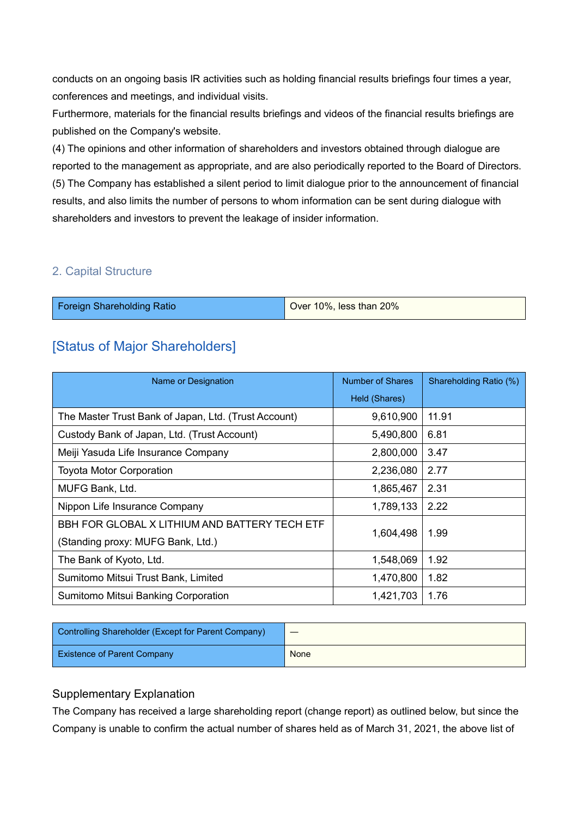conducts on an ongoing basis IR activities such as holding financial results briefings four times a year, conferences and meetings, and individual visits.

Furthermore, materials for the financial results briefings and videos of the financial results briefings are published on the Company's website.

(4) The opinions and other information of shareholders and investors obtained through dialogue are reported to the management as appropriate, and are also periodically reported to the Board of Directors. (5) The Company has established a silent period to limit dialogue prior to the announcement of financial results, and also limits the number of persons to whom information can be sent during dialogue with shareholders and investors to prevent the leakage of insider information.

### 2. Capital Structure

|  | $\vert$ Over 10%, less than 20% | <b>Foreign Shareholding Ratio</b> |  |
|--|---------------------------------|-----------------------------------|--|
|--|---------------------------------|-----------------------------------|--|

# [Status of Major Shareholders]

| Name or Designation                                  | Number of Shares | Shareholding Ratio (%) |
|------------------------------------------------------|------------------|------------------------|
|                                                      | Held (Shares)    |                        |
| The Master Trust Bank of Japan, Ltd. (Trust Account) | 9,610,900        | 11.91                  |
| Custody Bank of Japan, Ltd. (Trust Account)          | 5,490,800        | 6.81                   |
| Meiji Yasuda Life Insurance Company                  | 2,800,000        | 3.47                   |
| <b>Toyota Motor Corporation</b>                      | 2,236,080        | 2.77                   |
| MUFG Bank, Ltd.                                      | 1,865,467        | 2.31                   |
| Nippon Life Insurance Company                        | 1,789,133        | 2.22                   |
| BBH FOR GLOBAL X LITHIUM AND BATTERY TECH ETF        |                  |                        |
| (Standing proxy: MUFG Bank, Ltd.)                    | 1,604,498        | 1.99                   |
| The Bank of Kyoto, Ltd.                              | 1,548,069        | 1.92                   |
| Sumitomo Mitsui Trust Bank, Limited                  | 1,470,800        | 1.82                   |
| Sumitomo Mitsui Banking Corporation                  | 1,421,703        | 1.76                   |

| Controlling Shareholder (Except for Parent Company) |      |
|-----------------------------------------------------|------|
| <b>Existence of Parent Company</b>                  | None |

### Supplementary Explanation

The Company has received a large shareholding report (change report) as outlined below, but since the Company is unable to confirm the actual number of shares held as of March 31, 2021, the above list of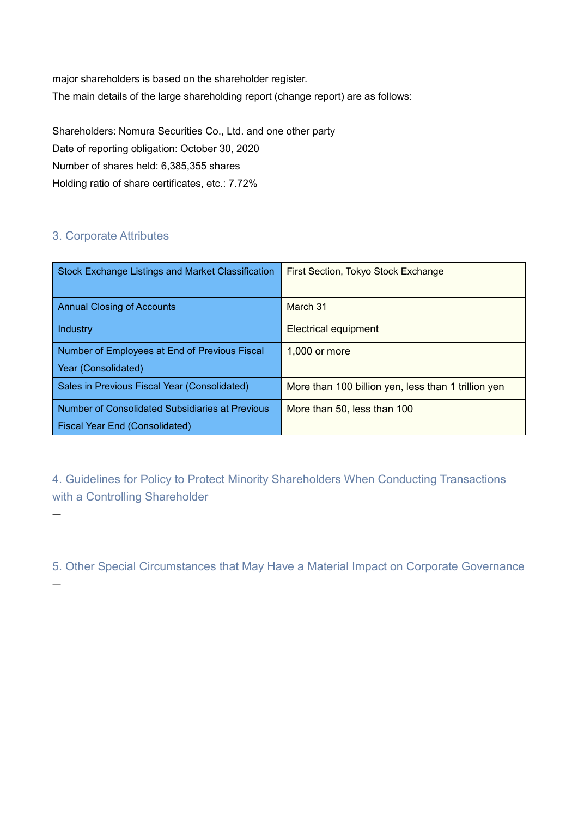major shareholders is based on the shareholder register. The main details of the large shareholding report (change report) are as follows:

Shareholders: Nomura Securities Co., Ltd. and one other party Date of reporting obligation: October 30, 2020 Number of shares held: 6,385,355 shares Holding ratio of share certificates, etc.: 7.72%

# 3. Corporate Attributes

―

―

| <b>Stock Exchange Listings and Market Classification</b> | First Section, Tokyo Stock Exchange                 |
|----------------------------------------------------------|-----------------------------------------------------|
| <b>Annual Closing of Accounts</b>                        | March 31                                            |
| Industry                                                 | <b>Electrical equipment</b>                         |
| Number of Employees at End of Previous Fiscal            | 1,000 or more                                       |
| Year (Consolidated)                                      |                                                     |
| Sales in Previous Fiscal Year (Consolidated)             | More than 100 billion yen, less than 1 trillion yen |
| Number of Consolidated Subsidiaries at Previous          | More than 50, less than 100                         |
| Fiscal Year End (Consolidated)                           |                                                     |

4. Guidelines for Policy to Protect Minority Shareholders When Conducting Transactions with a Controlling Shareholder

5. Other Special Circumstances that May Have a Material Impact on Corporate Governance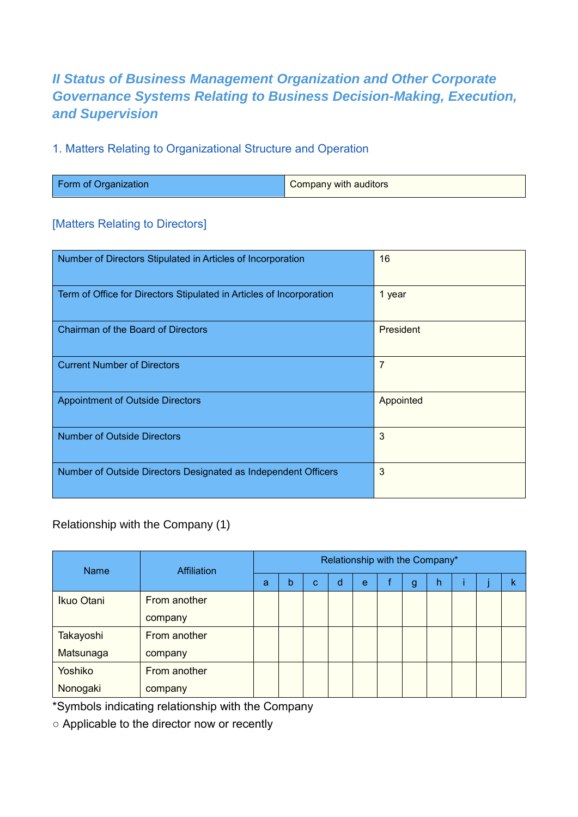# *II Status of Business Management Organization and Other Corporate Governance Systems Relating to Business Decision-Making, Execution, and Supervision*

## 1. Matters Relating to Organizational Structure and Operation

| Form of Organization | <b>Company with auditors</b> |
|----------------------|------------------------------|
|                      |                              |

### [Matters Relating to Directors]

| Number of Directors Stipulated in Articles of Incorporation          | 16               |
|----------------------------------------------------------------------|------------------|
| Term of Office for Directors Stipulated in Articles of Incorporation | 1 year           |
| <b>Chairman of the Board of Directors</b>                            | <b>President</b> |
| <b>Current Number of Directors</b>                                   | 7                |
| <b>Appointment of Outside Directors</b>                              | Appointed        |
| <b>Number of Outside Directors</b>                                   | 3                |
| Number of Outside Directors Designated as Independent Officers       | 3                |

# Relationship with the Company (1)

| <b>Name</b> | <b>Affiliation</b> | Relationship with the Company* |   |   |   |   |  |   |   |  |  |   |
|-------------|--------------------|--------------------------------|---|---|---|---|--|---|---|--|--|---|
|             |                    | a                              | b | C | d | e |  | g | h |  |  | k |
| Ikuo Otani  | From another       |                                |   |   |   |   |  |   |   |  |  |   |
|             | company            |                                |   |   |   |   |  |   |   |  |  |   |
| Takayoshi   | From another       |                                |   |   |   |   |  |   |   |  |  |   |
| Matsunaga   | company            |                                |   |   |   |   |  |   |   |  |  |   |
| Yoshiko     | From another       |                                |   |   |   |   |  |   |   |  |  |   |
| Nonogaki    | company            |                                |   |   |   |   |  |   |   |  |  |   |

\*Symbols indicating relationship with the Company

○ Applicable to the director now or recently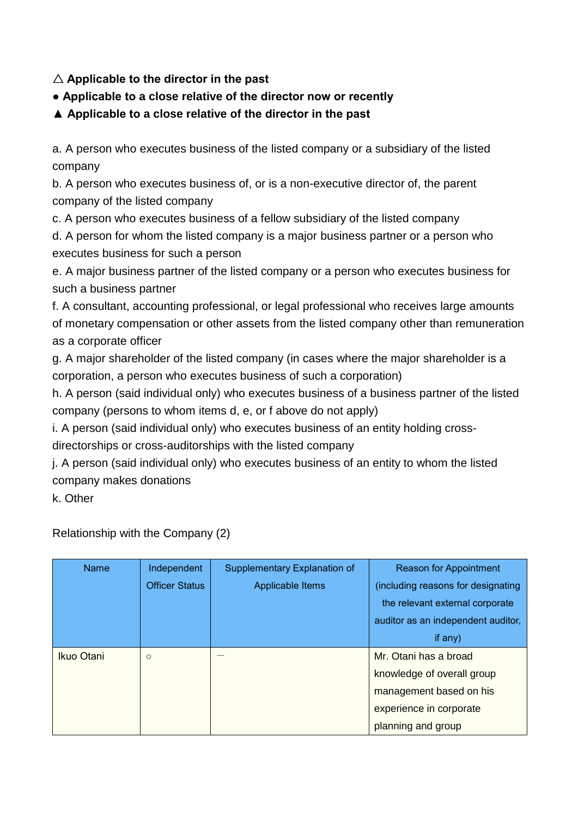# △ **Applicable to the director in the past**

# **● Applicable to a close relative of the director now or recently**

**▲ Applicable to a close relative of the director in the past**

a. A person who executes business of the listed company or a subsidiary of the listed company

b. A person who executes business of, or is a non-executive director of, the parent company of the listed company

c. A person who executes business of a fellow subsidiary of the listed company

d. A person for whom the listed company is a major business partner or a person who executes business for such a person

e. A major business partner of the listed company or a person who executes business for such a business partner

f. A consultant, accounting professional, or legal professional who receives large amounts of monetary compensation or other assets from the listed company other than remuneration as a corporate officer

g. A major shareholder of the listed company (in cases where the major shareholder is a corporation, a person who executes business of such a corporation)

h. A person (said individual only) who executes business of a business partner of the listed company (persons to whom items d, e, or f above do not apply)

i. A person (said individual only) who executes business of an entity holding crossdirectorships or cross-auditorships with the listed company

j. A person (said individual only) who executes business of an entity to whom the listed company makes donations

k. Other

Relationship with the Company (2)

| <b>Name</b> | Independent           | Supplementary Explanation of | <b>Reason for Appointment</b>      |
|-------------|-----------------------|------------------------------|------------------------------------|
|             | <b>Officer Status</b> | Applicable Items             | (including reasons for designating |
|             |                       |                              | the relevant external corporate    |
|             |                       |                              | auditor as an independent auditor, |
|             |                       |                              | if any)                            |
| Ikuo Otani  | $\circ$               |                              | Mr. Otani has a broad              |
|             |                       |                              | knowledge of overall group         |
|             |                       |                              | management based on his            |
|             |                       |                              | experience in corporate            |
|             |                       |                              | planning and group                 |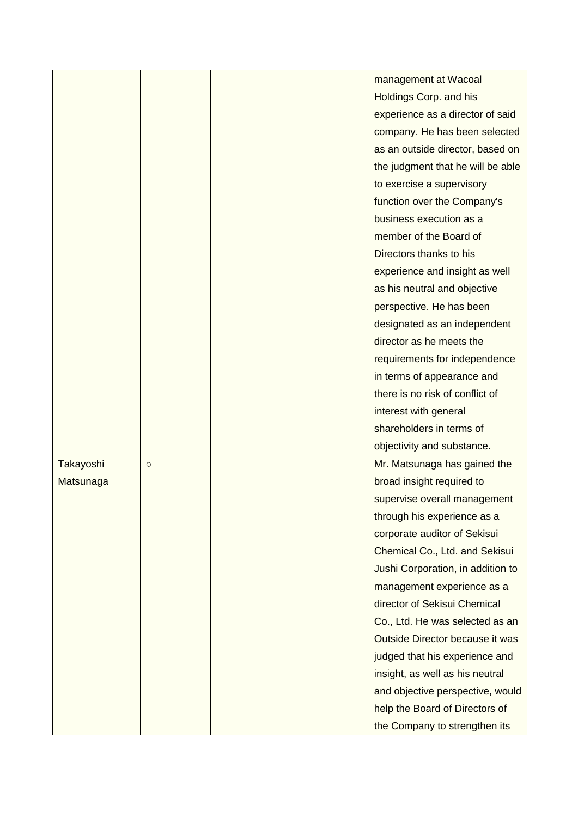|           |         | management at Wacoal              |
|-----------|---------|-----------------------------------|
|           |         | Holdings Corp. and his            |
|           |         | experience as a director of said  |
|           |         | company. He has been selected     |
|           |         | as an outside director, based on  |
|           |         | the judgment that he will be able |
|           |         | to exercise a supervisory         |
|           |         | function over the Company's       |
|           |         | business execution as a           |
|           |         | member of the Board of            |
|           |         | Directors thanks to his           |
|           |         | experience and insight as well    |
|           |         | as his neutral and objective      |
|           |         | perspective. He has been          |
|           |         | designated as an independent      |
|           |         | director as he meets the          |
|           |         | requirements for independence     |
|           |         | in terms of appearance and        |
|           |         | there is no risk of conflict of   |
|           |         | interest with general             |
|           |         | shareholders in terms of          |
|           |         | objectivity and substance.        |
| Takayoshi | $\circ$ | Mr. Matsunaga has gained the      |
| Matsunaga |         | broad insight required to         |
|           |         | supervise overall management      |
|           |         | through his experience as a       |
|           |         | corporate auditor of Sekisui      |
|           |         | Chemical Co., Ltd. and Sekisui    |
|           |         | Jushi Corporation, in addition to |
|           |         | management experience as a        |
|           |         | director of Sekisui Chemical      |
|           |         | Co., Ltd. He was selected as an   |
|           |         | Outside Director because it was   |
|           |         | judged that his experience and    |
|           |         | insight, as well as his neutral   |
|           |         | and objective perspective, would  |
|           |         | help the Board of Directors of    |
|           |         | the Company to strengthen its     |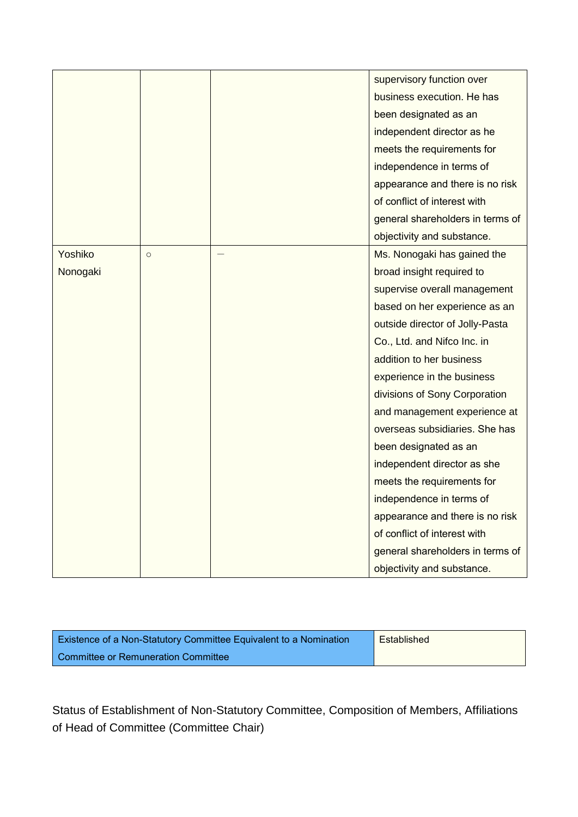|          |         | supervisory function over        |
|----------|---------|----------------------------------|
|          |         | business execution. He has       |
|          |         | been designated as an            |
|          |         | independent director as he       |
|          |         | meets the requirements for       |
|          |         | independence in terms of         |
|          |         | appearance and there is no risk  |
|          |         | of conflict of interest with     |
|          |         | general shareholders in terms of |
|          |         | objectivity and substance.       |
| Yoshiko  | $\circ$ | Ms. Nonogaki has gained the      |
| Nonogaki |         | broad insight required to        |
|          |         | supervise overall management     |
|          |         | based on her experience as an    |
|          |         | outside director of Jolly-Pasta  |
|          |         | Co., Ltd. and Nifco Inc. in      |
|          |         | addition to her business         |
|          |         | experience in the business       |
|          |         | divisions of Sony Corporation    |
|          |         | and management experience at     |
|          |         | overseas subsidiaries. She has   |
|          |         | been designated as an            |
|          |         | independent director as she      |
|          |         | meets the requirements for       |
|          |         | independence in terms of         |
|          |         | appearance and there is no risk  |
|          |         | of conflict of interest with     |
|          |         | general shareholders in terms of |
|          |         | objectivity and substance.       |

| Existence of a Non-Statutory Committee Equivalent to a Nomination | Established |
|-------------------------------------------------------------------|-------------|
| <b>Committee or Remuneration Committee</b>                        |             |

Status of Establishment of Non-Statutory Committee, Composition of Members, Affiliations of Head of Committee (Committee Chair)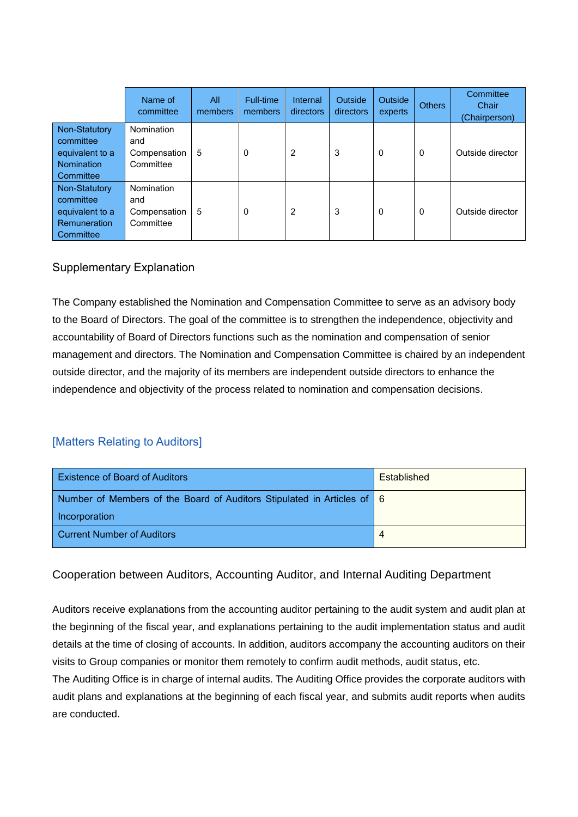|                                                                                   | Name of<br>committee                           | All<br>members | Full-time.<br>members | Internal<br>directors | Outside<br>directors | <b>Outside</b><br>experts | <b>Others</b> | Committee<br>Chair<br>(Chairperson) |
|-----------------------------------------------------------------------------------|------------------------------------------------|----------------|-----------------------|-----------------------|----------------------|---------------------------|---------------|-------------------------------------|
| Non-Statutory<br>committee<br>equivalent to a<br>Nomination<br>Committee          | Nomination<br>and<br>Compensation<br>Committee | 5              | 0                     | 2                     | 3                    | 0                         | 0             | Outside director                    |
| Non-Statutory<br>committee<br>equivalent to a<br><b>Remuneration</b><br>Committee | Nomination<br>and<br>Compensation<br>Committee | 5              | 0                     | 2                     | 3                    | $\Omega$                  | 0             | Outside director                    |

### Supplementary Explanation

The Company established the Nomination and Compensation Committee to serve as an advisory body to the Board of Directors. The goal of the committee is to strengthen the independence, objectivity and accountability of Board of Directors functions such as the nomination and compensation of senior management and directors. The Nomination and Compensation Committee is chaired by an independent outside director, and the majority of its members are independent outside directors to enhance the independence and objectivity of the process related to nomination and compensation decisions.

## [Matters Relating to Auditors]

| <b>Existence of Board of Auditors</b>                                  | Established |
|------------------------------------------------------------------------|-------------|
| Number of Members of the Board of Auditors Stipulated in Articles of 6 |             |
| Incorporation                                                          |             |
| Current Number of Auditors                                             | 4           |

## Cooperation between Auditors, Accounting Auditor, and Internal Auditing Department

Auditors receive explanations from the accounting auditor pertaining to the audit system and audit plan at the beginning of the fiscal year, and explanations pertaining to the audit implementation status and audit details at the time of closing of accounts. In addition, auditors accompany the accounting auditors on their visits to Group companies or monitor them remotely to confirm audit methods, audit status, etc.

The Auditing Office is in charge of internal audits. The Auditing Office provides the corporate auditors with audit plans and explanations at the beginning of each fiscal year, and submits audit reports when audits are conducted.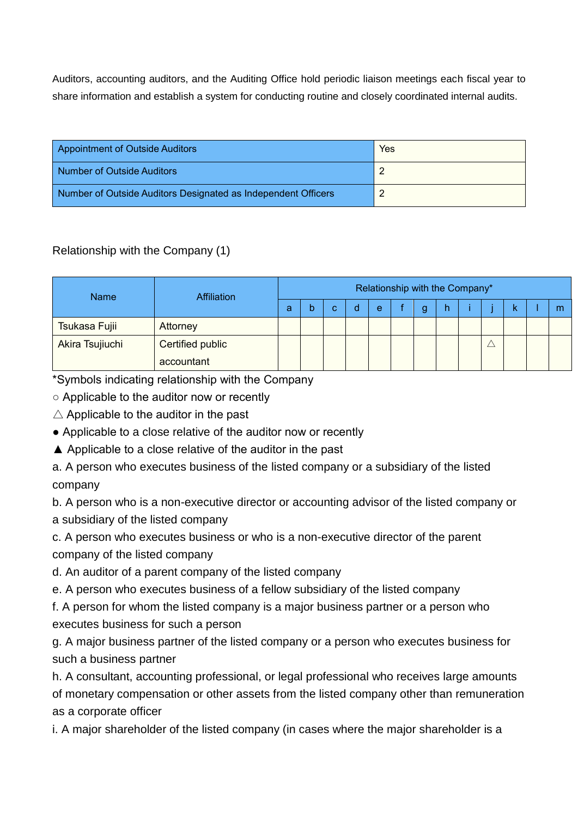Auditors, accounting auditors, and the Auditing Office hold periodic liaison meetings each fiscal year to share information and establish a system for conducting routine and closely coordinated internal audits.

| Appointment of Outside Auditors                               | Yes |
|---------------------------------------------------------------|-----|
| Number of Outside Auditors                                    |     |
| Number of Outside Auditors Designated as Independent Officers | ◠   |

# Relationship with the Company (1)

| <b>Name</b>     | <b>Affiliation</b> | Relationship with the Company* |   |   |   |   |  |   |   |  |  |   |
|-----------------|--------------------|--------------------------------|---|---|---|---|--|---|---|--|--|---|
|                 |                    | a                              | b | C | d | e |  | g | h |  |  | m |
| Tsukasa Fujii   | Attorney           |                                |   |   |   |   |  |   |   |  |  |   |
| Akira Tsujiuchi | Certified public   |                                |   |   |   |   |  |   |   |  |  |   |
|                 | accountant         |                                |   |   |   |   |  |   |   |  |  |   |

\*Symbols indicating relationship with the Company

○ Applicable to the auditor now or recently

 $\triangle$  Applicable to the auditor in the past

• Applicable to a close relative of the auditor now or recently

▲ Applicable to a close relative of the auditor in the past

a. A person who executes business of the listed company or a subsidiary of the listed company

b. A person who is a non-executive director or accounting advisor of the listed company or a subsidiary of the listed company

c. A person who executes business or who is a non-executive director of the parent company of the listed company

d. An auditor of a parent company of the listed company

e. A person who executes business of a fellow subsidiary of the listed company

f. A person for whom the listed company is a major business partner or a person who executes business for such a person

g. A major business partner of the listed company or a person who executes business for such a business partner

h. A consultant, accounting professional, or legal professional who receives large amounts of monetary compensation or other assets from the listed company other than remuneration as a corporate officer

i. A major shareholder of the listed company (in cases where the major shareholder is a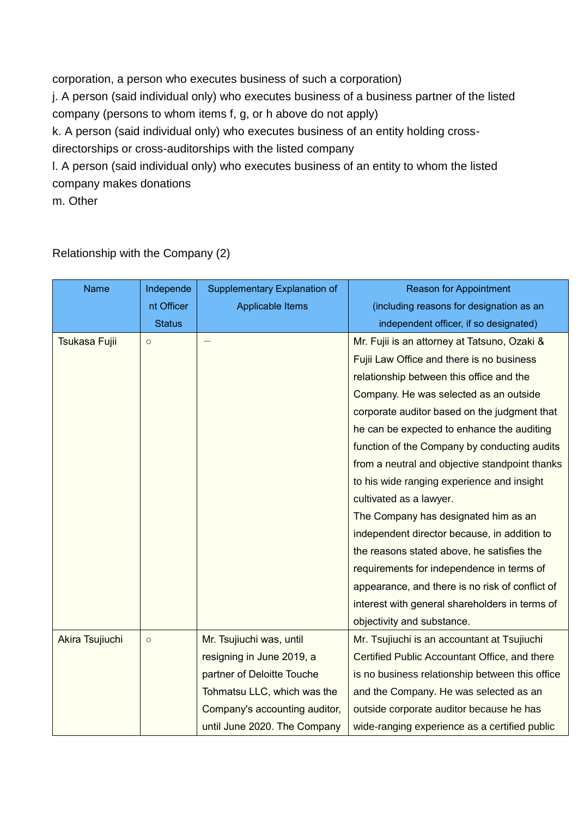corporation, a person who executes business of such a corporation) j. A person (said individual only) who executes business of a business partner of the listed company (persons to whom items f, g, or h above do not apply) k. A person (said individual only) who executes business of an entity holding crossdirectorships or cross-auditorships with the listed company l. A person (said individual only) who executes business of an entity to whom the listed company makes donations

m. Other

| <b>Name</b>     | Independe     | Supplementary Explanation of  | <b>Reason for Appointment</b>                   |
|-----------------|---------------|-------------------------------|-------------------------------------------------|
|                 | nt Officer    | <b>Applicable Items</b>       | (including reasons for designation as an        |
|                 | <b>Status</b> |                               | independent officer, if so designated)          |
| Tsukasa Fujii   | $\circ$       |                               | Mr. Fujii is an attorney at Tatsuno, Ozaki &    |
|                 |               |                               | Fujii Law Office and there is no business       |
|                 |               |                               | relationship between this office and the        |
|                 |               |                               | Company. He was selected as an outside          |
|                 |               |                               | corporate auditor based on the judgment that    |
|                 |               |                               | he can be expected to enhance the auditing      |
|                 |               |                               | function of the Company by conducting audits    |
|                 |               |                               | from a neutral and objective standpoint thanks  |
|                 |               |                               | to his wide ranging experience and insight      |
|                 |               |                               | cultivated as a lawyer.                         |
|                 |               |                               | The Company has designated him as an            |
|                 |               |                               | independent director because, in addition to    |
|                 |               |                               | the reasons stated above, he satisfies the      |
|                 |               |                               | requirements for independence in terms of       |
|                 |               |                               | appearance, and there is no risk of conflict of |
|                 |               |                               | interest with general shareholders in terms of  |
|                 |               |                               | objectivity and substance.                      |
| Akira Tsujiuchi | $\circ$       | Mr. Tsujiuchi was, until      | Mr. Tsujiuchi is an accountant at Tsujiuchi     |
|                 |               | resigning in June 2019, a     | Certified Public Accountant Office, and there   |
|                 |               | partner of Deloitte Touche    | is no business relationship between this office |
|                 |               | Tohmatsu LLC, which was the   | and the Company. He was selected as an          |
|                 |               | Company's accounting auditor, | outside corporate auditor because he has        |
|                 |               | until June 2020. The Company  | wide-ranging experience as a certified public   |

Relationship with the Company (2)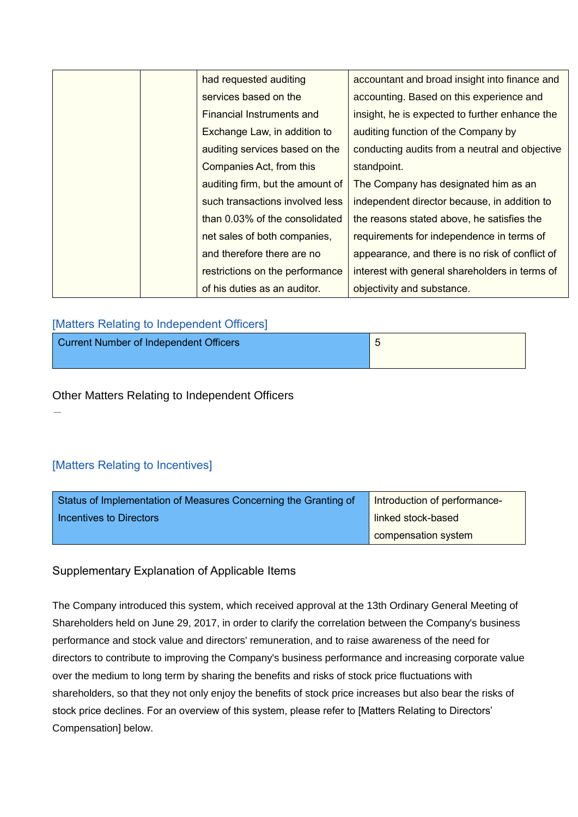|  | had requested auditing           | accountant and broad insight into finance and   |
|--|----------------------------------|-------------------------------------------------|
|  | services based on the            | accounting. Based on this experience and        |
|  | Financial Instruments and        | insight, he is expected to further enhance the  |
|  | Exchange Law, in addition to     | auditing function of the Company by             |
|  | auditing services based on the   | conducting audits from a neutral and objective  |
|  | Companies Act, from this         | standpoint.                                     |
|  | auditing firm, but the amount of | The Company has designated him as an            |
|  | such transactions involved less  | independent director because, in addition to    |
|  | than 0.03% of the consolidated   | the reasons stated above, he satisfies the      |
|  | net sales of both companies,     | requirements for independence in terms of       |
|  | and therefore there are no       | appearance, and there is no risk of conflict of |
|  | restrictions on the performance  | interest with general shareholders in terms of  |
|  | of his duties as an auditor.     | objectivity and substance.                      |

#### [Matters Relating to Independent Officers]

| Current Number of Independent Officers |  |
|----------------------------------------|--|
|                                        |  |

### Other Matters Relating to Independent Officers

-

## [Matters Relating to Incentives]

| Status of Implementation of Measures Concerning the Granting of | Introduction of performance- |
|-----------------------------------------------------------------|------------------------------|
| l Incentives to Directors                                       | linked stock-based           |
|                                                                 | compensation system          |

### Supplementary Explanation of Applicable Items

The Company introduced this system, which received approval at the 13th Ordinary General Meeting of Shareholders held on June 29, 2017, in order to clarify the correlation between the Company's business performance and stock value and directors' remuneration, and to raise awareness of the need for directors to contribute to improving the Company's business performance and increasing corporate value over the medium to long term by sharing the benefits and risks of stock price fluctuations with shareholders, so that they not only enjoy the benefits of stock price increases but also bear the risks of stock price declines. For an overview of this system, please refer to [Matters Relating to Directors' Compensation] below.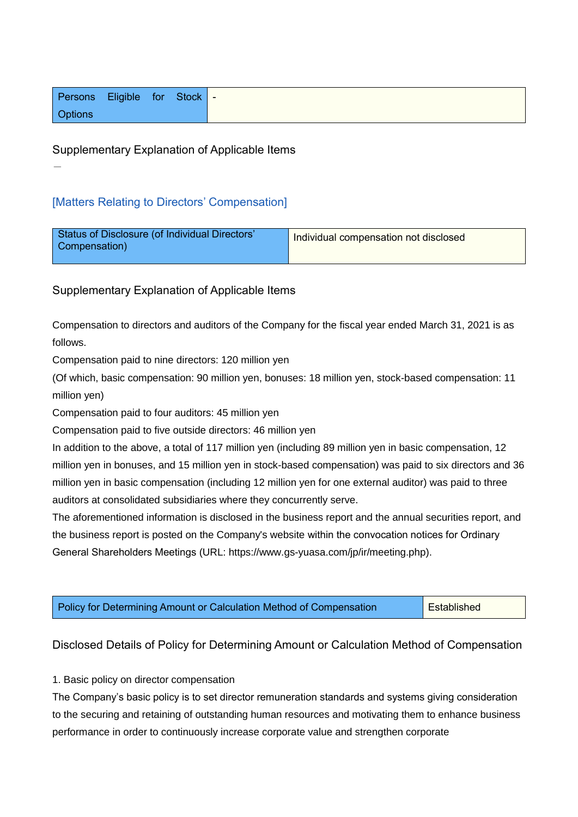| Persons Eligible for Stock - |  |  |
|------------------------------|--|--|
| <b>Options</b>               |  |  |

#### Supplementary Explanation of Applicable Items

#### [Matters Relating to Directors' Compensation]

-

| Status of Disclosure (of Individual Directors'<br>Compensation) | Individual compensation not disclosed |
|-----------------------------------------------------------------|---------------------------------------|
|                                                                 |                                       |

Supplementary Explanation of Applicable Items

Compensation to directors and auditors of the Company for the fiscal year ended March 31, 2021 is as follows.

Compensation paid to nine directors: 120 million yen

(Of which, basic compensation: 90 million yen, bonuses: 18 million yen, stock-based compensation: 11 million yen)

Compensation paid to four auditors: 45 million yen

Compensation paid to five outside directors: 46 million yen

In addition to the above, a total of 117 million yen (including 89 million yen in basic compensation, 12 million yen in bonuses, and 15 million yen in stock-based compensation) was paid to six directors and 36 million yen in basic compensation (including 12 million yen for one external auditor) was paid to three auditors at consolidated subsidiaries where they concurrently serve.

The aforementioned information is disclosed in the business report and the annual securities report, and the business report is posted on the Company's website within the convocation notices for Ordinary General Shareholders Meetings (URL: https://www.gs-yuasa.com/jp/ir/meeting.php).

| Policy for Determining Amount or Calculation Method of Compensation | Established |
|---------------------------------------------------------------------|-------------|
|---------------------------------------------------------------------|-------------|

#### Disclosed Details of Policy for Determining Amount or Calculation Method of Compensation

1. Basic policy on director compensation

The Company's basic policy is to set director remuneration standards and systems giving consideration to the securing and retaining of outstanding human resources and motivating them to enhance business performance in order to continuously increase corporate value and strengthen corporate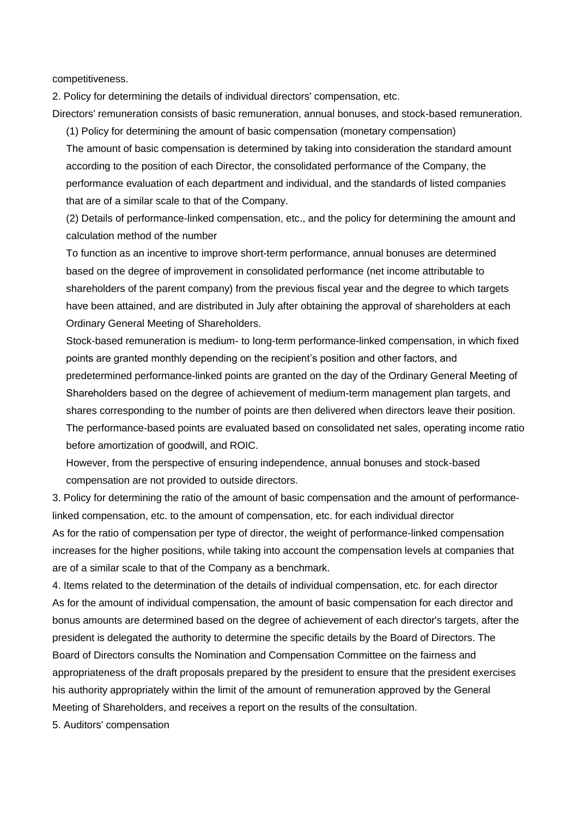competitiveness.

2. Policy for determining the details of individual directors' compensation, etc.

Directors' remuneration consists of basic remuneration, annual bonuses, and stock-based remuneration.

(1) Policy for determining the amount of basic compensation (monetary compensation) The amount of basic compensation is determined by taking into consideration the standard amount according to the position of each Director, the consolidated performance of the Company, the performance evaluation of each department and individual, and the standards of listed companies that are of a similar scale to that of the Company.

(2) Details of performance-linked compensation, etc., and the policy for determining the amount and calculation method of the number

To function as an incentive to improve short-term performance, annual bonuses are determined based on the degree of improvement in consolidated performance (net income attributable to shareholders of the parent company) from the previous fiscal year and the degree to which targets have been attained, and are distributed in July after obtaining the approval of shareholders at each Ordinary General Meeting of Shareholders.

Stock-based remuneration is medium- to long-term performance-linked compensation, in which fixed points are granted monthly depending on the recipient's position and other factors, and predetermined performance-linked points are granted on the day of the Ordinary General Meeting of Shareholders based on the degree of achievement of medium-term management plan targets, and shares corresponding to the number of points are then delivered when directors leave their position. The performance-based points are evaluated based on consolidated net sales, operating income ratio before amortization of goodwill, and ROIC.

However, from the perspective of ensuring independence, annual bonuses and stock-based compensation are not provided to outside directors.

3. Policy for determining the ratio of the amount of basic compensation and the amount of performancelinked compensation, etc. to the amount of compensation, etc. for each individual director As for the ratio of compensation per type of director, the weight of performance-linked compensation increases for the higher positions, while taking into account the compensation levels at companies that are of a similar scale to that of the Company as a benchmark.

4. Items related to the determination of the details of individual compensation, etc. for each director As for the amount of individual compensation, the amount of basic compensation for each director and bonus amounts are determined based on the degree of achievement of each director's targets, after the president is delegated the authority to determine the specific details by the Board of Directors. The Board of Directors consults the Nomination and Compensation Committee on the fairness and appropriateness of the draft proposals prepared by the president to ensure that the president exercises his authority appropriately within the limit of the amount of remuneration approved by the General Meeting of Shareholders, and receives a report on the results of the consultation.

5. Auditors' compensation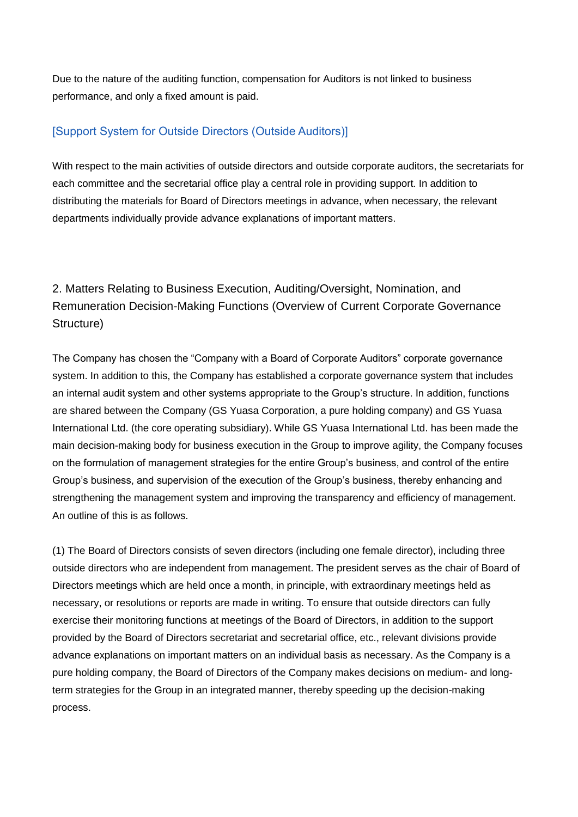Due to the nature of the auditing function, compensation for Auditors is not linked to business performance, and only a fixed amount is paid.

## [Support System for Outside Directors (Outside Auditors)]

With respect to the main activities of outside directors and outside corporate auditors, the secretariats for each committee and the secretarial office play a central role in providing support. In addition to distributing the materials for Board of Directors meetings in advance, when necessary, the relevant departments individually provide advance explanations of important matters.

2. Matters Relating to Business Execution, Auditing/Oversight, Nomination, and Remuneration Decision-Making Functions (Overview of Current Corporate Governance Structure)

The Company has chosen the "Company with a Board of Corporate Auditors" corporate governance system. In addition to this, the Company has established a corporate governance system that includes an internal audit system and other systems appropriate to the Group's structure. In addition, functions are shared between the Company (GS Yuasa Corporation, a pure holding company) and GS Yuasa International Ltd. (the core operating subsidiary). While GS Yuasa International Ltd. has been made the main decision-making body for business execution in the Group to improve agility, the Company focuses on the formulation of management strategies for the entire Group's business, and control of the entire Group's business, and supervision of the execution of the Group's business, thereby enhancing and strengthening the management system and improving the transparency and efficiency of management. An outline of this is as follows.

(1) The Board of Directors consists of seven directors (including one female director), including three outside directors who are independent from management. The president serves as the chair of Board of Directors meetings which are held once a month, in principle, with extraordinary meetings held as necessary, or resolutions or reports are made in writing. To ensure that outside directors can fully exercise their monitoring functions at meetings of the Board of Directors, in addition to the support provided by the Board of Directors secretariat and secretarial office, etc., relevant divisions provide advance explanations on important matters on an individual basis as necessary. As the Company is a pure holding company, the Board of Directors of the Company makes decisions on medium- and longterm strategies for the Group in an integrated manner, thereby speeding up the decision-making process.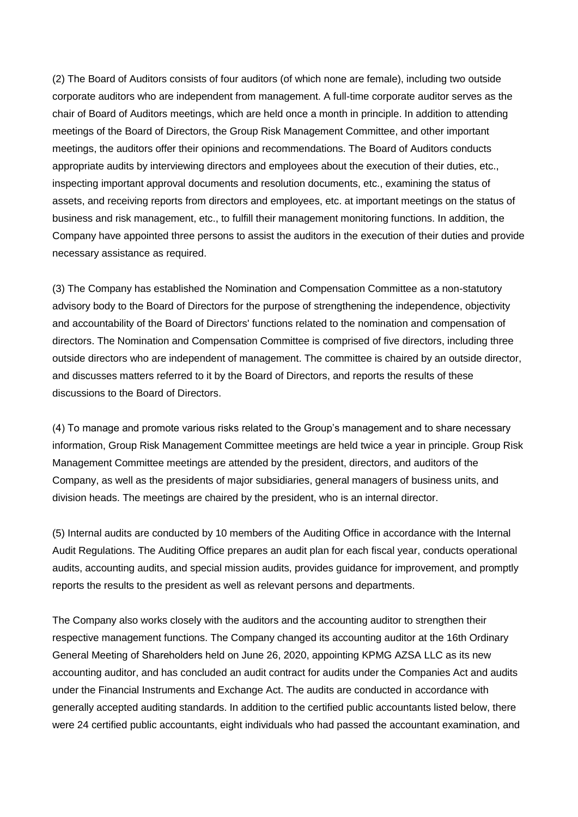(2) The Board of Auditors consists of four auditors (of which none are female), including two outside corporate auditors who are independent from management. A full-time corporate auditor serves as the chair of Board of Auditors meetings, which are held once a month in principle. In addition to attending meetings of the Board of Directors, the Group Risk Management Committee, and other important meetings, the auditors offer their opinions and recommendations. The Board of Auditors conducts appropriate audits by interviewing directors and employees about the execution of their duties, etc., inspecting important approval documents and resolution documents, etc., examining the status of assets, and receiving reports from directors and employees, etc. at important meetings on the status of business and risk management, etc., to fulfill their management monitoring functions. In addition, the Company have appointed three persons to assist the auditors in the execution of their duties and provide necessary assistance as required.

(3) The Company has established the Nomination and Compensation Committee as a non-statutory advisory body to the Board of Directors for the purpose of strengthening the independence, objectivity and accountability of the Board of Directors' functions related to the nomination and compensation of directors. The Nomination and Compensation Committee is comprised of five directors, including three outside directors who are independent of management. The committee is chaired by an outside director, and discusses matters referred to it by the Board of Directors, and reports the results of these discussions to the Board of Directors.

(4) To manage and promote various risks related to the Group's management and to share necessary information, Group Risk Management Committee meetings are held twice a year in principle. Group Risk Management Committee meetings are attended by the president, directors, and auditors of the Company, as well as the presidents of major subsidiaries, general managers of business units, and division heads. The meetings are chaired by the president, who is an internal director.

(5) Internal audits are conducted by 10 members of the Auditing Office in accordance with the Internal Audit Regulations. The Auditing Office prepares an audit plan for each fiscal year, conducts operational audits, accounting audits, and special mission audits, provides guidance for improvement, and promptly reports the results to the president as well as relevant persons and departments.

The Company also works closely with the auditors and the accounting auditor to strengthen their respective management functions. The Company changed its accounting auditor at the 16th Ordinary General Meeting of Shareholders held on June 26, 2020, appointing KPMG AZSA LLC as its new accounting auditor, and has concluded an audit contract for audits under the Companies Act and audits under the Financial Instruments and Exchange Act. The audits are conducted in accordance with generally accepted auditing standards. In addition to the certified public accountants listed below, there were 24 certified public accountants, eight individuals who had passed the accountant examination, and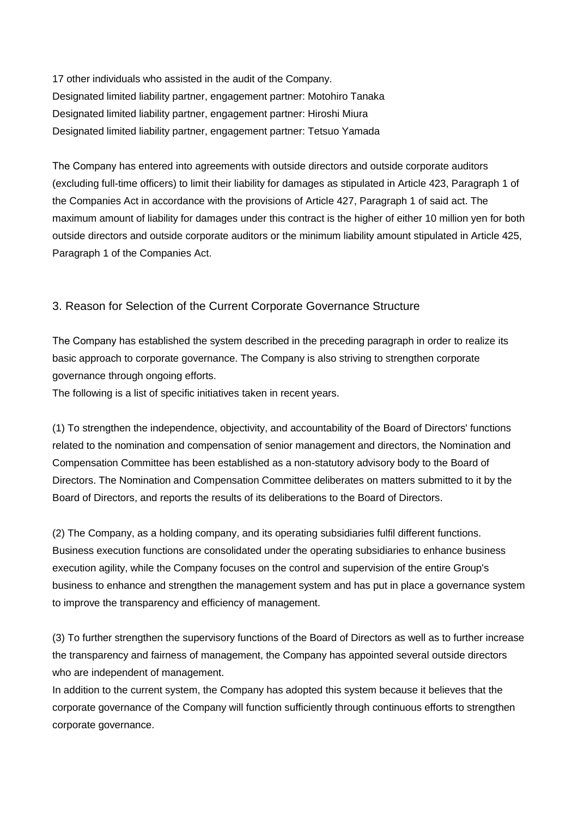17 other individuals who assisted in the audit of the Company. Designated limited liability partner, engagement partner: Motohiro Tanaka Designated limited liability partner, engagement partner: Hiroshi Miura Designated limited liability partner, engagement partner: Tetsuo Yamada

The Company has entered into agreements with outside directors and outside corporate auditors (excluding full-time officers) to limit their liability for damages as stipulated in Article 423, Paragraph 1 of the Companies Act in accordance with the provisions of Article 427, Paragraph 1 of said act. The maximum amount of liability for damages under this contract is the higher of either 10 million yen for both outside directors and outside corporate auditors or the minimum liability amount stipulated in Article 425, Paragraph 1 of the Companies Act.

### 3. Reason for Selection of the Current Corporate Governance Structure

The Company has established the system described in the preceding paragraph in order to realize its basic approach to corporate governance. The Company is also striving to strengthen corporate governance through ongoing efforts.

The following is a list of specific initiatives taken in recent years.

(1) To strengthen the independence, objectivity, and accountability of the Board of Directors' functions related to the nomination and compensation of senior management and directors, the Nomination and Compensation Committee has been established as a non-statutory advisory body to the Board of Directors. The Nomination and Compensation Committee deliberates on matters submitted to it by the Board of Directors, and reports the results of its deliberations to the Board of Directors.

(2) The Company, as a holding company, and its operating subsidiaries fulfil different functions. Business execution functions are consolidated under the operating subsidiaries to enhance business execution agility, while the Company focuses on the control and supervision of the entire Group's business to enhance and strengthen the management system and has put in place a governance system to improve the transparency and efficiency of management.

(3) To further strengthen the supervisory functions of the Board of Directors as well as to further increase the transparency and fairness of management, the Company has appointed several outside directors who are independent of management.

In addition to the current system, the Company has adopted this system because it believes that the corporate governance of the Company will function sufficiently through continuous efforts to strengthen corporate governance.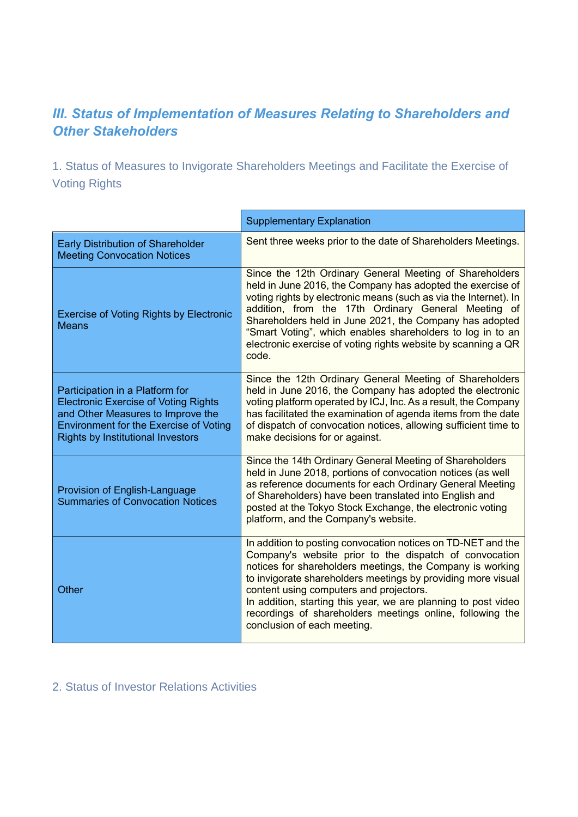# *III. Status of Implementation of Measures Relating to Shareholders and Other Stakeholders*

1. Status of Measures to Invigorate Shareholders Meetings and Facilitate the Exercise of Voting Rights

|                                                                                                                                                                                                                  | <b>Supplementary Explanation</b>                                                                                                                                                                                                                                                                                                                                                                                                                             |
|------------------------------------------------------------------------------------------------------------------------------------------------------------------------------------------------------------------|--------------------------------------------------------------------------------------------------------------------------------------------------------------------------------------------------------------------------------------------------------------------------------------------------------------------------------------------------------------------------------------------------------------------------------------------------------------|
| <b>Early Distribution of Shareholder</b><br><b>Meeting Convocation Notices</b>                                                                                                                                   | Sent three weeks prior to the date of Shareholders Meetings.                                                                                                                                                                                                                                                                                                                                                                                                 |
| <b>Exercise of Voting Rights by Electronic</b><br><b>Means</b>                                                                                                                                                   | Since the 12th Ordinary General Meeting of Shareholders<br>held in June 2016, the Company has adopted the exercise of<br>voting rights by electronic means (such as via the Internet). In<br>addition, from the 17th Ordinary General Meeting of<br>Shareholders held in June 2021, the Company has adopted<br>"Smart Voting", which enables shareholders to log in to an<br>electronic exercise of voting rights website by scanning a QR<br>code.          |
| Participation in a Platform for<br><b>Electronic Exercise of Voting Rights</b><br>and Other Measures to Improve the<br><b>Environment for the Exercise of Voting</b><br><b>Rights by Institutional Investors</b> | Since the 12th Ordinary General Meeting of Shareholders<br>held in June 2016, the Company has adopted the electronic<br>voting platform operated by ICJ, Inc. As a result, the Company<br>has facilitated the examination of agenda items from the date<br>of dispatch of convocation notices, allowing sufficient time to<br>make decisions for or against.                                                                                                 |
| Provision of English-Language<br><b>Summaries of Convocation Notices</b>                                                                                                                                         | Since the 14th Ordinary General Meeting of Shareholders<br>held in June 2018, portions of convocation notices (as well<br>as reference documents for each Ordinary General Meeting<br>of Shareholders) have been translated into English and<br>posted at the Tokyo Stock Exchange, the electronic voting<br>platform, and the Company's website.                                                                                                            |
| Other                                                                                                                                                                                                            | In addition to posting convocation notices on TD-NET and the<br>Company's website prior to the dispatch of convocation<br>notices for shareholders meetings, the Company is working<br>to invigorate shareholders meetings by providing more visual<br>content using computers and projectors.<br>In addition, starting this year, we are planning to post video<br>recordings of shareholders meetings online, following the<br>conclusion of each meeting. |

# 2. Status of Investor Relations Activities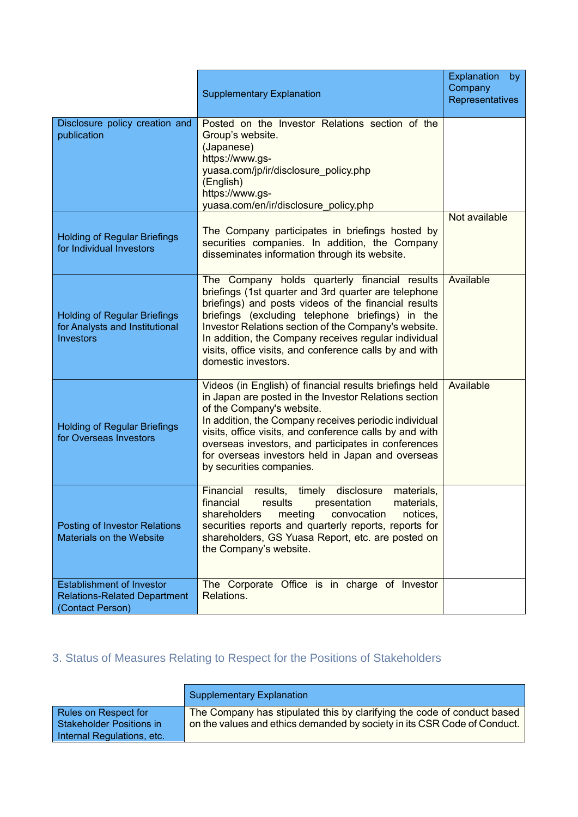|                                                                                             | <b>Supplementary Explanation</b>                                                                                                                                                                                                                                                                                                                                                                                    | Explanation<br>by<br>Company<br>Representatives |
|---------------------------------------------------------------------------------------------|---------------------------------------------------------------------------------------------------------------------------------------------------------------------------------------------------------------------------------------------------------------------------------------------------------------------------------------------------------------------------------------------------------------------|-------------------------------------------------|
| Disclosure policy creation and<br>publication                                               | Posted on the Investor Relations section of the<br>Group's website.<br>(Japanese)<br>https://www.gs-<br>yuasa.com/jp/ir/disclosure_policy.php<br>(English)<br>https://www.gs-<br>yuasa.com/en/ir/disclosure_policy.php                                                                                                                                                                                              |                                                 |
| <b>Holding of Regular Briefings</b><br>for Individual Investors                             | The Company participates in briefings hosted by<br>securities companies. In addition, the Company<br>disseminates information through its website.                                                                                                                                                                                                                                                                  | Not available                                   |
| <b>Holding of Regular Briefings</b><br>for Analysts and Institutional<br><b>Investors</b>   | The Company holds quarterly financial results<br>briefings (1st quarter and 3rd quarter are telephone<br>briefings) and posts videos of the financial results<br>briefings (excluding telephone briefings) in the<br>Investor Relations section of the Company's website.<br>In addition, the Company receives regular individual<br>visits, office visits, and conference calls by and with<br>domestic investors. | Available                                       |
| <b>Holding of Regular Briefings</b><br>for Overseas Investors                               | Videos (in English) of financial results briefings held<br>in Japan are posted in the Investor Relations section<br>of the Company's website.<br>In addition, the Company receives periodic individual<br>visits, office visits, and conference calls by and with<br>overseas investors, and participates in conferences<br>for overseas investors held in Japan and overseas<br>by securities companies.           | Available                                       |
| <b>Posting of Investor Relations</b><br>Materials on the Website                            | Financial<br>disclosure<br>results,<br>materials,<br>timely<br>financial<br>results<br>presentation<br>materials.<br>shareholders<br>meeting<br>convocation<br>notices,<br>securities reports and quarterly reports, reports for<br>shareholders, GS Yuasa Report, etc. are posted on<br>the Company's website.                                                                                                     |                                                 |
| <b>Establishment of Investor</b><br><b>Relations-Related Department</b><br>(Contact Person) | The Corporate Office is in charge of Investor<br>Relations.                                                                                                                                                                                                                                                                                                                                                         |                                                 |

# 3. Status of Measures Relating to Respect for the Positions of Stakeholders

|                                                                                  | Supplementary Explanation                                                                                                                           |
|----------------------------------------------------------------------------------|-----------------------------------------------------------------------------------------------------------------------------------------------------|
| Rules on Respect for<br>l Stakeholder Positions in<br>Internal Regulations, etc. | The Company has stipulated this by clarifying the code of conduct based<br>on the values and ethics demanded by society in its CSR Code of Conduct. |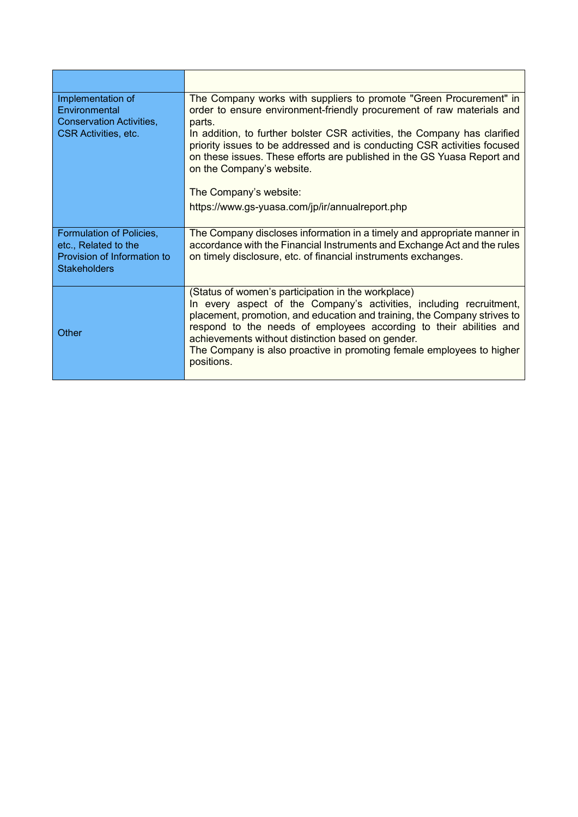| Implementation of<br>Environmental<br>Conservation Activities,<br><b>CSR Activities, etc.</b>          | The Company works with suppliers to promote "Green Procurement" in<br>order to ensure environment-friendly procurement of raw materials and<br>parts.<br>In addition, to further bolster CSR activities, the Company has clarified<br>priority issues to be addressed and is conducting CSR activities focused<br>on these issues. These efforts are published in the GS Yuasa Report and<br>on the Company's website.  |
|--------------------------------------------------------------------------------------------------------|-------------------------------------------------------------------------------------------------------------------------------------------------------------------------------------------------------------------------------------------------------------------------------------------------------------------------------------------------------------------------------------------------------------------------|
|                                                                                                        | The Company's website:                                                                                                                                                                                                                                                                                                                                                                                                  |
|                                                                                                        | https://www.gs-yuasa.com/jp/ir/annualreport.php                                                                                                                                                                                                                                                                                                                                                                         |
| Formulation of Policies,<br>etc., Related to the<br>Provision of Information to<br><b>Stakeholders</b> | The Company discloses information in a timely and appropriate manner in<br>accordance with the Financial Instruments and Exchange Act and the rules<br>on timely disclosure, etc. of financial instruments exchanges.                                                                                                                                                                                                   |
| Other                                                                                                  | (Status of women's participation in the workplace)<br>In every aspect of the Company's activities, including recruitment,<br>placement, promotion, and education and training, the Company strives to<br>respond to the needs of employees according to their abilities and<br>achievements without distinction based on gender.<br>The Company is also proactive in promoting female employees to higher<br>positions. |

 $\blacksquare$ 

 $\mathbf{r}$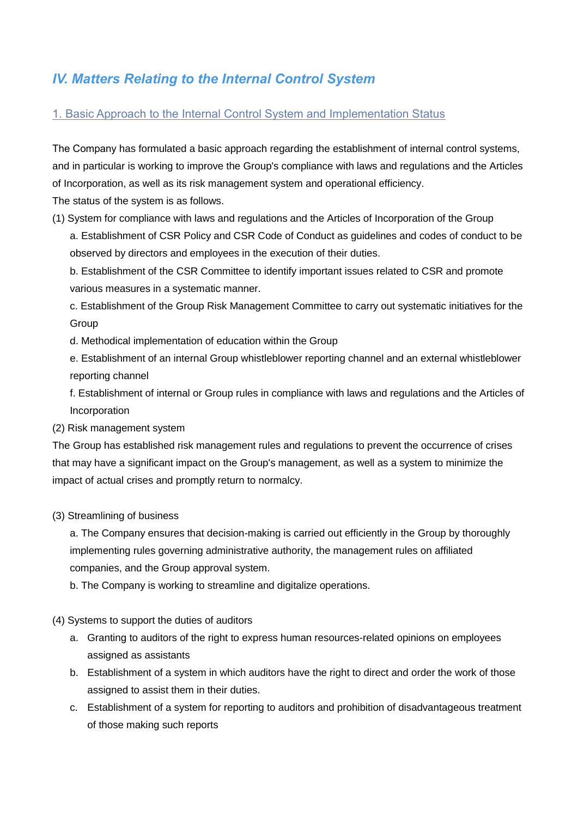# *IV. Matters Relating to the Internal Control System*

### 1. Basic Approach to the Internal Control System and Implementation Status

The Company has formulated a basic approach regarding the establishment of internal control systems, and in particular is working to improve the Group's compliance with laws and regulations and the Articles of Incorporation, as well as its risk management system and operational efficiency. The status of the system is as follows.

(1) System for compliance with laws and regulations and the Articles of Incorporation of the Group a. Establishment of CSR Policy and CSR Code of Conduct as guidelines and codes of conduct to be observed by directors and employees in the execution of their duties.

b. Establishment of the CSR Committee to identify important issues related to CSR and promote various measures in a systematic manner.

c. Establishment of the Group Risk Management Committee to carry out systematic initiatives for the Group

- d. Methodical implementation of education within the Group
- e. Establishment of an internal Group whistleblower reporting channel and an external whistleblower reporting channel

f. Establishment of internal or Group rules in compliance with laws and regulations and the Articles of Incorporation

(2) Risk management system

The Group has established risk management rules and regulations to prevent the occurrence of crises that may have a significant impact on the Group's management, as well as a system to minimize the impact of actual crises and promptly return to normalcy.

(3) Streamlining of business

a. The Company ensures that decision-making is carried out efficiently in the Group by thoroughly implementing rules governing administrative authority, the management rules on affiliated companies, and the Group approval system.

b. The Company is working to streamline and digitalize operations.

#### (4) Systems to support the duties of auditors

- a. Granting to auditors of the right to express human resources-related opinions on employees assigned as assistants
- b. Establishment of a system in which auditors have the right to direct and order the work of those assigned to assist them in their duties.
- c. Establishment of a system for reporting to auditors and prohibition of disadvantageous treatment of those making such reports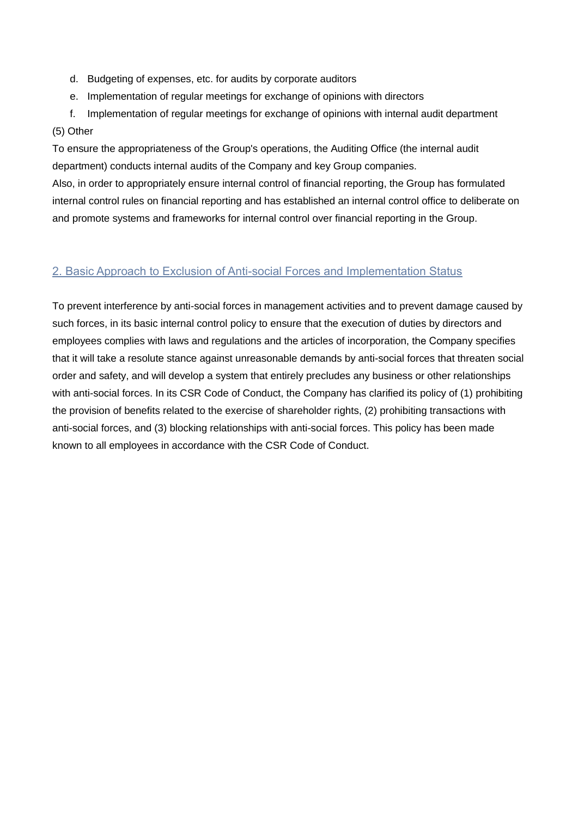- d. Budgeting of expenses, etc. for audits by corporate auditors
- e. Implementation of regular meetings for exchange of opinions with directors
- f. Implementation of regular meetings for exchange of opinions with internal audit department (5) Other

To ensure the appropriateness of the Group's operations, the Auditing Office (the internal audit department) conducts internal audits of the Company and key Group companies.

Also, in order to appropriately ensure internal control of financial reporting, the Group has formulated internal control rules on financial reporting and has established an internal control office to deliberate on and promote systems and frameworks for internal control over financial reporting in the Group.

### 2. Basic Approach to Exclusion of Anti-social Forces and Implementation Status

To prevent interference by anti-social forces in management activities and to prevent damage caused by such forces, in its basic internal control policy to ensure that the execution of duties by directors and employees complies with laws and regulations and the articles of incorporation, the Company specifies that it will take a resolute stance against unreasonable demands by anti-social forces that threaten social order and safety, and will develop a system that entirely precludes any business or other relationships with anti-social forces. In its CSR Code of Conduct, the Company has clarified its policy of (1) prohibiting the provision of benefits related to the exercise of shareholder rights, (2) prohibiting transactions with anti-social forces, and (3) blocking relationships with anti-social forces. This policy has been made known to all employees in accordance with the CSR Code of Conduct.